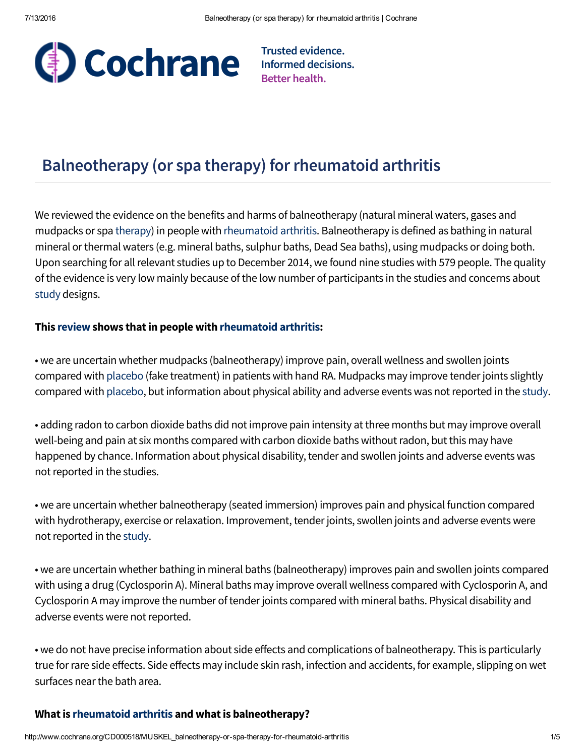

Trusted evidence. Informed decisions. Better health.

# Balneotherapy (or spa therapy) for rheumatoid arthritis

We reviewed the evidence on the benefits and harms of balneotherapy (natural mineral waters, gases and mudpacks or spa therapy) in people with rheumatoid arthritis. Balneotherapy is defined as bathing in natural mineral orthermal waters (e.g. mineral baths, sulphur baths, Dead Sea baths), using mudpacks or doing both. Upon searching for all relevant studies up to December 2014, we found nine studies with 579 people. The quality of the evidence is very low mainly because of the low number of participants in the studies and concerns about study designs.

## This review shows that in people with rheumatoid arthritis:

• we are uncertain whether mudpacks (balneotherapy) improve pain, overall wellness and swollen joints compared with placebo (fake treatment) in patients with hand RA. Mudpacks may improve tender joints slightly compared with placebo, but information about physical ability and adverse events was not reported in the study.

• adding radon to carbon dioxide baths did not improve pain intensity at three months but may improve overall well-being and pain at six months compared with carbon dioxide baths without radon, but this may have happened by chance. Information about physical disability, tender and swollen joints and adverse events was not reported in the studies.

• we are uncertain whether balneotherapy (seated immersion) improves pain and physical function compared with hydrotherapy, exercise or relaxation. Improvement, tender joints, swollen joints and adverse events were not reported in the study.

• we are uncertain whether bathing in mineral baths (balneotherapy) improves pain and swollen joints compared with using a drug (Cyclosporin A). Mineral baths may improve overall wellness compared with Cyclosporin A, and Cyclosporin A may improve the number of tender joints compared with mineral baths. Physical disability and adverse events were not reported.

• we do not have precise information about side effects and complications of balneotherapy. This is particularly true for rare side effects. Side effects may include skin rash, infection and accidents, for example, slipping on wet surfaces nearthe bath area.

# What is rheumatoid arthritis and what is balneotherapy?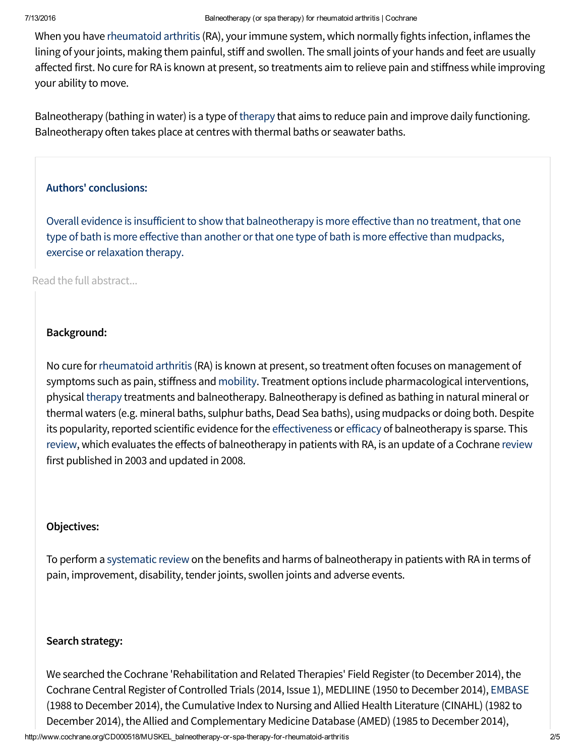When you have rheumatoid arthritis (RA), your immune system, which normally fights infection, inflames the lining of your joints, making them painful, stiff and swollen. The small joints of your hands and feet are usually affected first. No cure for RA is known at present, so treatments aim to relieve pain and stiffness while improving your ability to move.

Balneotherapy (bathing in water) is a type of therapy that aims to reduce pain and improve daily functioning. Balneotherapy often takes place at centres with thermal baths or seawater baths.

## Authors' conclusions:

Overall evidence is insufficient to show that balneotherapy is more effective than no treatment, that one type of bath is more effective than another or that one type of bath is more effective than mudpacks, exercise or relaxation therapy.

Read the full abstract...

# Background:

No cure for rheumatoid arthritis (RA) is known at present, so treatment often focuses on management of symptoms such as pain, stiffness and mobility. Treatment options include pharmacological interventions, physical therapy treatments and balneotherapy. Balneotherapy is defined as bathing in natural mineral or thermal waters (e.g. mineral baths, sulphur baths, Dead Sea baths), using mudpacks or doing both. Despite its popularity, reported scientific evidence for the effectiveness or efficacy of balneotherapy is sparse. This review, which evaluates the effects of balneotherapy in patients with RA, is an update of a Cochrane review first published in 2003 and updated in 2008.

# Objectives:

To perform a systematic review on the benefits and harms of balneotherapy in patients with RA in terms of pain, improvement, disability, tender joints, swollen joints and adverse events.

# Search strategy:

We searched the Cochrane 'Rehabilitation and Related Therapies' Field Register (to December 2014), the Cochrane Central Register of Controlled Trials (2014, Issue 1), MEDLIINE (1950 to December 2014), EMBASE(1988 to December 2014), the Cumulative Index to Nursing and Allied Health Literature (CINAHL) (1982 to December 2014), the Allied and Complementary Medicine Database (AMED) (1985 to December 2014),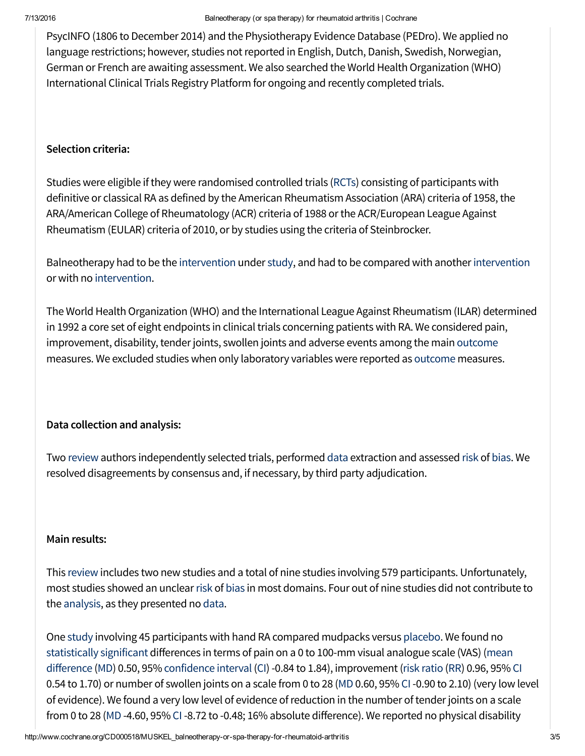PsycINFO(1806 to December 2014) and the Physiotherapy Evidence Database (PEDro). We applied no language restrictions; however, studies not reported in English, Dutch, Danish, Swedish, Norwegian, German or French are awaiting assessment. We also searched the World Health Organization (WHO) International Clinical Trials Registry Platform for ongoing and recently completed trials.

## Selection criteria:

Studies were eligible if they were randomised controlled trials (RCTs) consisting of participants with definitive or classical RA as defined by the American Rheumatism Association (ARA) criteria of 1958, the ARA/American College of Rheumatology (ACR) criteria of 1988 or the ACR/European League Against Rheumatism (EULAR) criteria of 2010, or by studies using the criteria of Steinbrocker.

Balneotherapy had to be the intervention under study, and had to be compared with another intervention or with no intervention.

The World Health Organization (WHO) and the International League Against Rheumatism (ILAR) determined in 1992 a core set of eight endpoints in clinical trials concerning patients with RA. We considered pain, improvement, disability, tender joints, swollen joints and adverse events among the main outcome measures. We excluded studies when only laboratory variables were reported as outcome measures.

# Data collection and analysis:

Two review authors independently selected trials, performed data extraction and assessed risk of bias. We resolved disagreements by consensus and, if necessary, by third party adjudication.

# Main results:

This review includes two new studies and a total of nine studies involving 579 participants. Unfortunately, most studies showed an unclear risk of bias in most domains. Four out of nine studies did not contribute to the analysis, as they presented no data.

One study involving 45 participants with hand RA compared mudpacks versus placebo. We found no statistically significant differences in terms of pain on a 0 to 100-mm visual analogue scale (VAS) (mean difference (MD) 0.50, 95% confidence interval (CI) -0.84 to 1.84), improvement (risk ratio (RR) 0.96, 95% CI 0.54 to 1.70) or number of swollen joints on a scale from 0 to 28 (MD 0.60, 95% CI-0.90 to 2.10) (very low level of evidence). We found a very low level of evidence of reduction in the number of tender joints on a scale from 0 to 28 (MD -4.60, 95% CI -8.72 to -0.48; 16% absolute difference). We reported no physical disability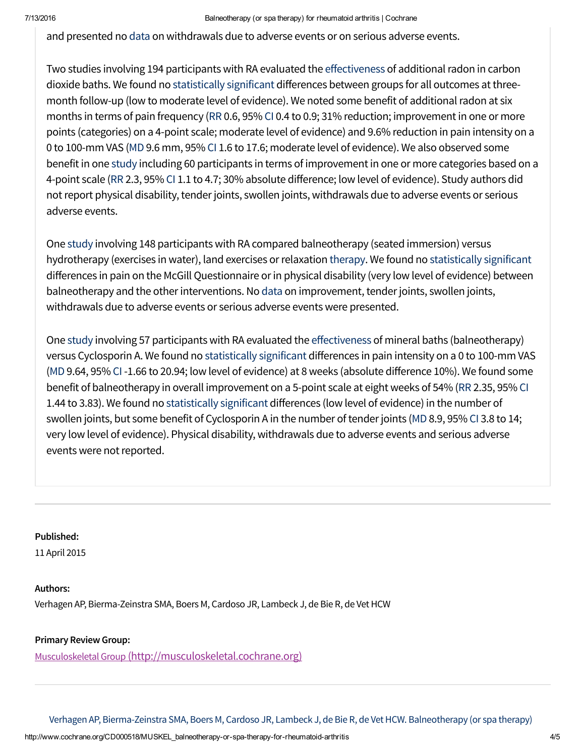and presented no data on withdrawals due to adverse events or on serious adverse events.

Two studies involving 194 participants with RA evaluated the effectiveness of additional radon in carbon dioxide baths. We found no statistically significant differences between groups for all outcomes at threemonth follow-up (low to moderate level of evidence). We noted some benefit of additionalradon at six months in terms of pain frequency (RR 0.6, 95% CI 0.4 to 0.9; 31% reduction; improvement in one or more points (categories) on a 4-point scale; moderate level of evidence) and 9.6% reduction in pain intensity on a 0 to 100-mm VAS (MD 9.6 mm, 95% CI 1.6 to 17.6; moderate level of evidence). We also observed some benefit in one study including 60 participants in terms of improvement in one or more categories based on a 4-point scale (RR 2.3, 95% CI 1.1 to 4.7; 30% absolute difference; low level of evidence). Study authors did not report physical disability, tender joints, swollen joints, withdrawals due to adverse events or serious adverse events.

One study involving 148 participants with RA compared balneotherapy (seated immersion) versus hydrotherapy (exercises in water), land exercises or relaxation therapy. We found no statistically significant differences in pain on the McGill Questionnaire or in physical disability (very low level of evidence) between balneotherapy and the other interventions. No data on improvement, tender joints, swollen joints, withdrawals due to adverse events or serious adverse events were presented.

One study involving 57 participants with RA evaluated the effectiveness of mineral baths (balneotherapy) versus Cyclosporin A. We found no statistically significant differences in pain intensity on a 0 to 100-mm VAS (MD 9.64, 95% CI-1.66 to 20.94; low level of evidence) at 8 weeks (absolute difference 10%). We found some benefit of balneotherapy in overall improvement on a 5-point scale at eight weeks of 54% (RR 2.35, 95% CI 1.44 to 3.83). We found no statistically significant differences (low level of evidence) in the number of swollen joints, but some benefit of Cyclosporin A in the number of tender joints (MD 8.9, 95% CI 3.8 to 14; very low level of evidence). Physical disability, withdrawals due to adverse events and serious adverse events were not reported.

#### Published:

11 April 2015

#### Authors:

Verhagen AP, Bierma-Zeinstra SMA, Boers M, Cardoso JR, Lambeck J, de Bie R, de VetHCW

#### Primary Review Group:

Musculoskeletal Group [\(http://musculoskeletal.cochrane.org\)](http://musculoskeletal.cochrane.org/)